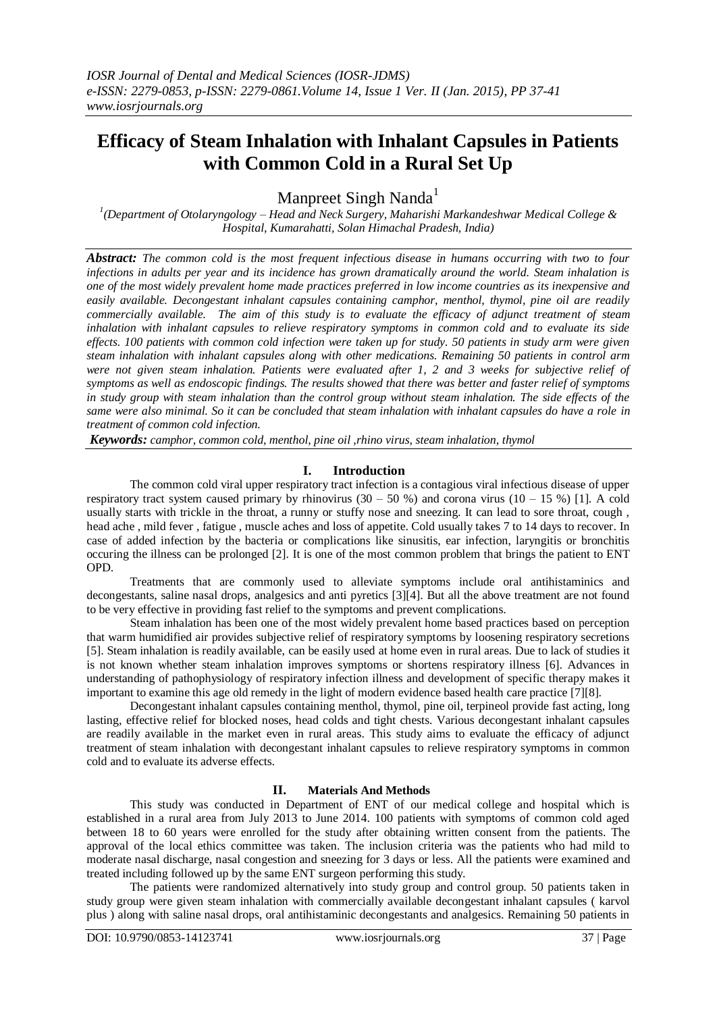# **Efficacy of Steam Inhalation with Inhalant Capsules in Patients with Common Cold in a Rural Set Up**

Manpreet Singh Nanda<sup>1</sup>

*1 (Department of Otolaryngology – Head and Neck Surgery, Maharishi Markandeshwar Medical College & Hospital, Kumarahatti, Solan Himachal Pradesh, India)*

*Abstract: The common cold is the most frequent infectious disease in humans occurring with two to four infections in adults per year and its incidence has grown dramatically around the world. Steam inhalation is one of the most widely prevalent home made practices preferred in low income countries as its inexpensive and easily available. Decongestant inhalant capsules containing camphor, menthol, thymol, pine oil are readily commercially available. The aim of this study is to evaluate the efficacy of adjunct treatment of steam inhalation with inhalant capsules to relieve respiratory symptoms in common cold and to evaluate its side effects. 100 patients with common cold infection were taken up for study. 50 patients in study arm were given steam inhalation with inhalant capsules along with other medications. Remaining 50 patients in control arm were not given steam inhalation. Patients were evaluated after 1, 2 and 3 weeks for subjective relief of symptoms as well as endoscopic findings. The results showed that there was better and faster relief of symptoms in study group with steam inhalation than the control group without steam inhalation. The side effects of the same were also minimal. So it can be concluded that steam inhalation with inhalant capsules do have a role in treatment of common cold infection.*

*Keywords: camphor, common cold, menthol, pine oil ,rhino virus, steam inhalation, thymol*

## **I. Introduction**

The common cold viral upper respiratory tract infection is a contagious viral infectious disease of upper respiratory tract system caused primary by rhinovirus  $(30 - 50)$  %) and corona virus  $(10 - 15)$  %) [1]. A cold usually starts with trickle in the throat, a runny or stuffy nose and sneezing. It can lead to sore throat, cough , head ache , mild fever , fatigue , muscle aches and loss of appetite. Cold usually takes 7 to 14 days to recover. In case of added infection by the bacteria or complications like sinusitis, ear infection, laryngitis or bronchitis occuring the illness can be prolonged [2]. It is one of the most common problem that brings the patient to ENT OPD.

Treatments that are commonly used to alleviate symptoms include oral antihistaminics and decongestants, saline nasal drops, analgesics and anti pyretics [3][4]. But all the above treatment are not found to be very effective in providing fast relief to the symptoms and prevent complications.

Steam inhalation has been one of the most widely prevalent home based practices based on perception that warm humidified air provides subjective relief of respiratory symptoms by loosening respiratory secretions [5]. Steam inhalation is readily available, can be easily used at home even in rural areas. Due to lack of studies it is not known whether steam inhalation improves symptoms or shortens respiratory illness [6]. Advances in understanding of pathophysiology of respiratory infection illness and development of specific therapy makes it important to examine this age old remedy in the light of modern evidence based health care practice [7][8].

Decongestant inhalant capsules containing menthol, thymol, pine oil, terpineol provide fast acting, long lasting, effective relief for blocked noses, head colds and tight chests. Various decongestant inhalant capsules are readily available in the market even in rural areas. This study aims to evaluate the efficacy of adjunct treatment of steam inhalation with decongestant inhalant capsules to relieve respiratory symptoms in common cold and to evaluate its adverse effects.

## **II. Materials And Methods**

This study was conducted in Department of ENT of our medical college and hospital which is established in a rural area from July 2013 to June 2014. 100 patients with symptoms of common cold aged between 18 to 60 years were enrolled for the study after obtaining written consent from the patients. The approval of the local ethics committee was taken. The inclusion criteria was the patients who had mild to moderate nasal discharge, nasal congestion and sneezing for 3 days or less. All the patients were examined and treated including followed up by the same ENT surgeon performing this study.

The patients were randomized alternatively into study group and control group. 50 patients taken in study group were given steam inhalation with commercially available decongestant inhalant capsules ( karvol plus ) along with saline nasal drops, oral antihistaminic decongestants and analgesics. Remaining 50 patients in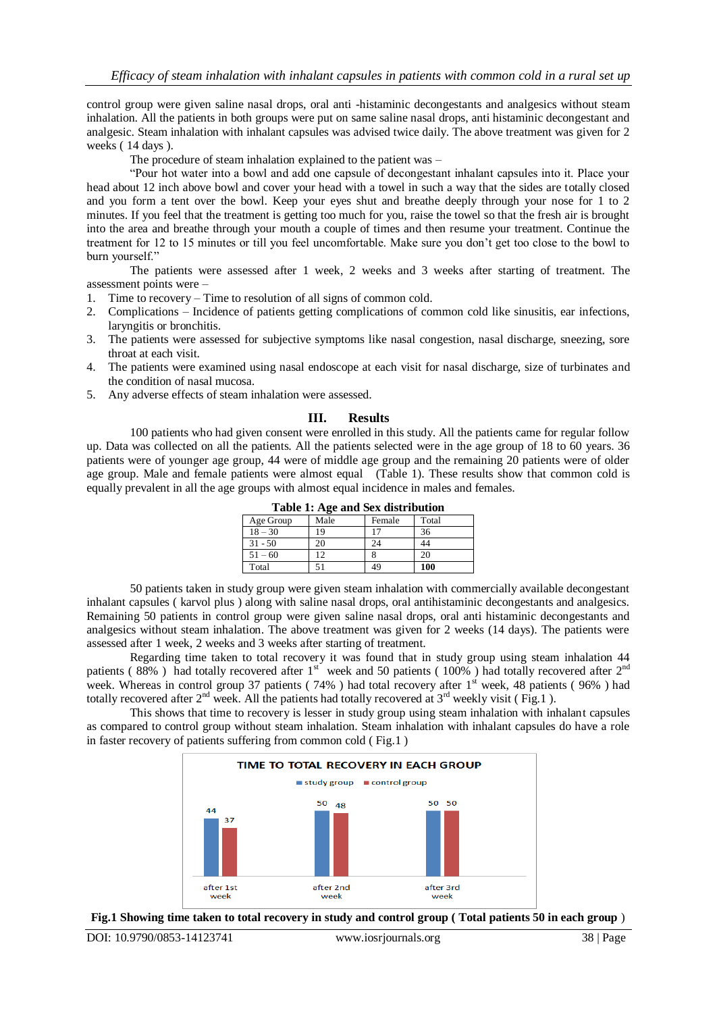control group were given saline nasal drops, oral anti -histaminic decongestants and analgesics without steam inhalation. All the patients in both groups were put on same saline nasal drops, anti histaminic decongestant and analgesic. Steam inhalation with inhalant capsules was advised twice daily. The above treatment was given for 2 weeks ( 14 days ).

The procedure of steam inhalation explained to the patient was –

"Pour hot water into a bowl and add one capsule of decongestant inhalant capsules into it. Place your head about 12 inch above bowl and cover your head with a towel in such a way that the sides are totally closed and you form a tent over the bowl. Keep your eyes shut and breathe deeply through your nose for 1 to 2 minutes. If you feel that the treatment is getting too much for you, raise the towel so that the fresh air is brought into the area and breathe through your mouth a couple of times and then resume your treatment. Continue the treatment for 12 to 15 minutes or till you feel uncomfortable. Make sure you don't get too close to the bowl to burn yourself."

The patients were assessed after 1 week, 2 weeks and 3 weeks after starting of treatment. The assessment points were –

- 1. Time to recovery Time to resolution of all signs of common cold.
- 2. Complications Incidence of patients getting complications of common cold like sinusitis, ear infections, laryngitis or bronchitis.
- 3. The patients were assessed for subjective symptoms like nasal congestion, nasal discharge, sneezing, sore throat at each visit.
- 4. The patients were examined using nasal endoscope at each visit for nasal discharge, size of turbinates and the condition of nasal mucosa.
- 5. Any adverse effects of steam inhalation were assessed.

#### **III. Results**

100 patients who had given consent were enrolled in this study. All the patients came for regular follow up. Data was collected on all the patients. All the patients selected were in the age group of 18 to 60 years. 36 patients were of younger age group, 44 were of middle age group and the remaining 20 patients were of older age group. Male and female patients were almost equal (Table 1). These results show that common cold is equally prevalent in all the age groups with almost equal incidence in males and females.

| Table 1: Age and Sex distribution |      |        |       |  |  |  |
|-----------------------------------|------|--------|-------|--|--|--|
| Age Group                         | Male | Female | Total |  |  |  |
| $18 - 30$                         | 19   |        | 36    |  |  |  |
| $31 - 50$                         | 20   | 24     |       |  |  |  |
| $51 - 60$                         | 12   |        | 20    |  |  |  |
| Total                             |      |        | 100   |  |  |  |

50 patients taken in study group were given steam inhalation with commercially available decongestant inhalant capsules ( karvol plus ) along with saline nasal drops, oral antihistaminic decongestants and analgesics. Remaining 50 patients in control group were given saline nasal drops, oral anti histaminic decongestants and analgesics without steam inhalation. The above treatment was given for 2 weeks (14 days). The patients were assessed after 1 week, 2 weeks and 3 weeks after starting of treatment.

Regarding time taken to total recovery it was found that in study group using steam inhalation 44 patients (88%) had totally recovered after  $1<sup>st</sup>$  week and 50 patients (100%) had totally recovered after  $2<sup>nd</sup>$ week. Whereas in control group 37 patients (  $74\%$  ) had total recovery after 1<sup>st</sup> week, 48 patients (  $96\%$  ) had totally recovered after  $2<sup>nd</sup>$  week. All the patients had totally recovered at  $3<sup>rd</sup>$  weekly visit (Fig.1).

This shows that time to recovery is lesser in study group using steam inhalation with inhalant capsules as compared to control group without steam inhalation. Steam inhalation with inhalant capsules do have a role in faster recovery of patients suffering from common cold ( Fig.1 )



**Fig.1 Showing time taken to total recovery in study and control group ( Total patients 50 in each group** )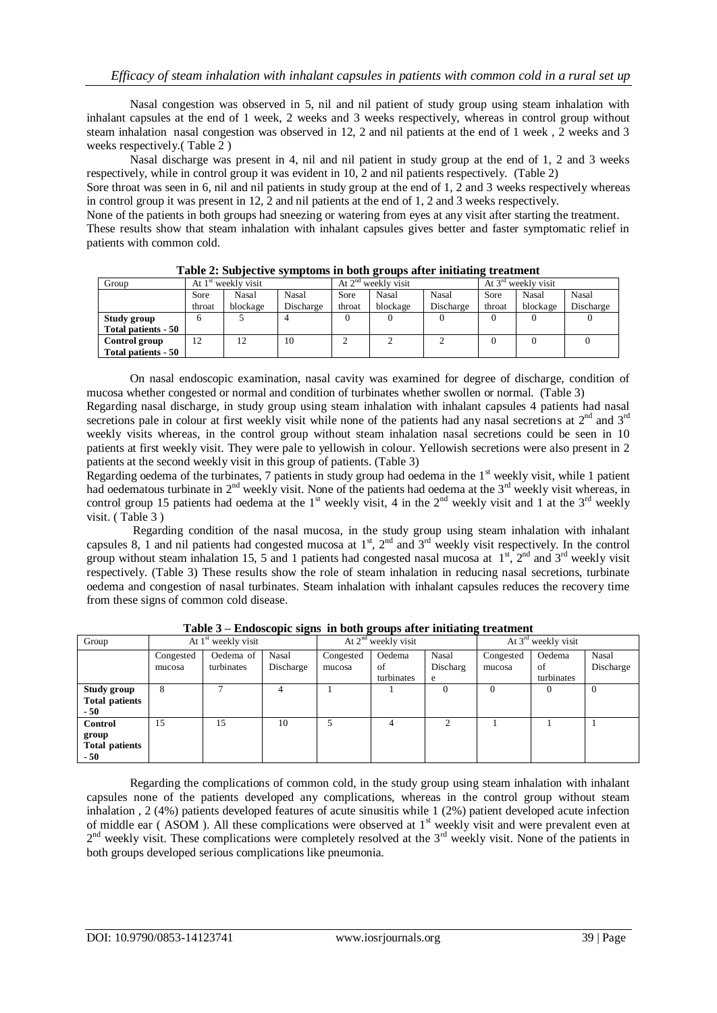Nasal congestion was observed in 5, nil and nil patient of study group using steam inhalation with inhalant capsules at the end of 1 week, 2 weeks and 3 weeks respectively, whereas in control group without steam inhalation nasal congestion was observed in 12, 2 and nil patients at the end of 1 week , 2 weeks and 3 weeks respectively.( Table 2 )

Nasal discharge was present in 4, nil and nil patient in study group at the end of 1, 2 and 3 weeks respectively, while in control group it was evident in 10, 2 and nil patients respectively. (Table 2)

Sore throat was seen in 6, nil and nil patients in study group at the end of 1, 2 and 3 weeks respectively whereas in control group it was present in 12, 2 and nil patients at the end of 1, 2 and 3 weeks respectively.

None of the patients in both groups had sneezing or watering from eyes at any visit after starting the treatment. These results show that steam inhalation with inhalant capsules gives better and faster symptomatic relief in patients with common cold.

| Group               | At 1 <sup>st</sup> weekly visit |          |           | At $2nd$ weekly visit |          |           | At $3rd$ weekly visit |          |           |
|---------------------|---------------------------------|----------|-----------|-----------------------|----------|-----------|-----------------------|----------|-----------|
|                     | Sore                            | Nasal    | Nasal     | Sore                  | Nasal    | Nasal     | Sore                  | Nasal    | Nasal     |
|                     | throat                          | blockage | Discharge | throat                | blockage | Discharge | throat                | blockage | Discharge |
| Study group         |                                 |          |           |                       |          |           |                       |          |           |
| Total patients - 50 |                                 |          |           |                       |          |           |                       |          |           |
| Control group       | 12                              | 12       | 10        |                       |          |           |                       |          |           |
| Total patients - 50 |                                 |          |           |                       |          |           |                       |          |           |

**Table 2: Subjective symptoms in both groups after initiating treatment**

On nasal endoscopic examination, nasal cavity was examined for degree of discharge, condition of mucosa whether congested or normal and condition of turbinates whether swollen or normal. (Table 3) Regarding nasal discharge, in study group using steam inhalation with inhalant capsules 4 patients had nasal

secretions pale in colour at first weekly visit while none of the patients had any nasal secretions at  $2<sup>nd</sup>$  and  $3<sup>rd</sup>$ weekly visits whereas, in the control group without steam inhalation nasal secretions could be seen in 10 patients at first weekly visit. They were pale to yellowish in colour. Yellowish secretions were also present in 2 patients at the second weekly visit in this group of patients. (Table 3)

Regarding oedema of the turbinates,  $7$  patients in study group had oedema in the  $1<sup>st</sup>$  weekly visit, while 1 patient had oedematous turbinate in  $2<sup>nd</sup>$  weekly visit. None of the patients had oedema at the  $3<sup>rd</sup>$  weekly visit whereas, in control group 15 patients had oedema at the 1<sup>st</sup> weekly visit, 4 in the 2<sup>nd</sup> weekly visit and 1 at the 3<sup>rd</sup> weekly visit. ( Table 3 )

Regarding condition of the nasal mucosa, in the study group using steam inhalation with inhalant capsules 8, 1 and nil patients had congested mucosa at  $1<sup>st</sup>$ ,  $2<sup>nd</sup>$  and  $3<sup>rd</sup>$  weekly visit respectively. In the control group without steam inhalation 15, 5 and 1 patients had congested nasal mucosa at  $1^{st}$ ,  $2^{nd}$  and  $3^{rd}$  weekly visit respectively. (Table 3) These results show the role of steam inhalation in reducing nasal secretions, turbinate oedema and congestion of nasal turbinates. Steam inhalation with inhalant capsules reduces the recovery time from these signs of common cold disease.

| Group                                             | At $1st$ weekly visit |                         |                    | At $2nd$ weekly visit |                            |                        | At $3rd$ weekly visit |                            |                           |
|---------------------------------------------------|-----------------------|-------------------------|--------------------|-----------------------|----------------------------|------------------------|-----------------------|----------------------------|---------------------------|
|                                                   | Congested<br>mucosa   | Oedema of<br>turbinates | Nasal<br>Discharge | Congested<br>mucosa   | Oedema<br>of<br>turbinates | Nasal<br>Discharg<br>e | Congested<br>mucosa   | Oedema<br>οf<br>turbinates | <b>Nasal</b><br>Discharge |
| Study group<br><b>Total patients</b><br>- 50      | 8                     |                         |                    |                       |                            |                        |                       |                            | $\Omega$                  |
| Control<br>group<br><b>Total patients</b><br>- 50 | 15                    | 15                      | 10                 |                       | 4                          | ↑                      |                       |                            |                           |

**Table 3 – Endoscopic signs in both groups after initiating treatment**

Regarding the complications of common cold, in the study group using steam inhalation with inhalant capsules none of the patients developed any complications, whereas in the control group without steam inhalation , 2 (4%) patients developed features of acute sinusitis while 1 (2%) patient developed acute infection of middle ear (ASOM). All these complications were observed at 1<sup>st</sup> weekly visit and were prevalent even at 2<sup>nd</sup> weekly visit. These complications were completely resolved at the 3<sup>rd</sup> weekly visit. None of the patients in both groups developed serious complications like pneumonia.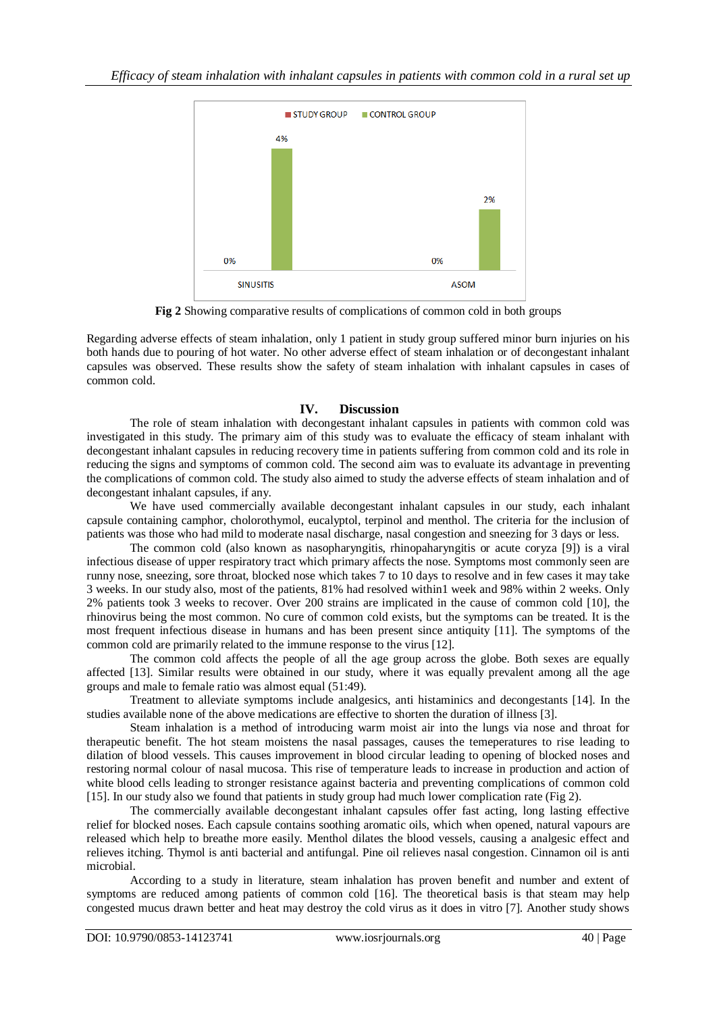

**Fig 2** Showing comparative results of complications of common cold in both groups

Regarding adverse effects of steam inhalation, only 1 patient in study group suffered minor burn injuries on his both hands due to pouring of hot water. No other adverse effect of steam inhalation or of decongestant inhalant capsules was observed. These results show the safety of steam inhalation with inhalant capsules in cases of common cold.

# **IV. Discussion**

The role of steam inhalation with decongestant inhalant capsules in patients with common cold was investigated in this study. The primary aim of this study was to evaluate the efficacy of steam inhalant with decongestant inhalant capsules in reducing recovery time in patients suffering from common cold and its role in reducing the signs and symptoms of common cold. The second aim was to evaluate its advantage in preventing the complications of common cold. The study also aimed to study the adverse effects of steam inhalation and of decongestant inhalant capsules, if any.

We have used commercially available decongestant inhalant capsules in our study, each inhalant capsule containing camphor, cholorothymol, eucalyptol, terpinol and menthol. The criteria for the inclusion of patients was those who had mild to moderate nasal discharge, nasal congestion and sneezing for 3 days or less.

The common cold (also known as nasopharyngitis, rhinopaharyngitis or acute coryza [9]) is a viral infectious disease of upper respiratory tract which primary affects the nose. Symptoms most commonly seen are runny nose, sneezing, sore throat, blocked nose which takes 7 to 10 days to resolve and in few cases it may take 3 weeks. In our study also, most of the patients, 81% had resolved within1 week and 98% within 2 weeks. Only 2% patients took 3 weeks to recover. Over 200 strains are implicated in the cause of common cold [10], the rhinovirus being the most common. No cure of common cold exists, but the symptoms can be treated. It is the most frequent infectious disease in humans and has been present since antiquity [11]. The symptoms of the common cold are primarily related to the immune response to the virus [12].

The common cold affects the people of all the age group across the globe. Both sexes are equally affected [13]. Similar results were obtained in our study, where it was equally prevalent among all the age groups and male to female ratio was almost equal (51:49).

Treatment to alleviate symptoms include analgesics, anti histaminics and decongestants [14]. In the studies available none of the above medications are effective to shorten the duration of illness [3].

Steam inhalation is a method of introducing warm moist air into the lungs via nose and throat for therapeutic benefit. The hot steam moistens the nasal passages, causes the temeperatures to rise leading to dilation of blood vessels. This causes improvement in blood circular leading to opening of blocked noses and restoring normal colour of nasal mucosa. This rise of temperature leads to increase in production and action of white blood cells leading to stronger resistance against bacteria and preventing complications of common cold [15]. In our study also we found that patients in study group had much lower complication rate (Fig 2).

The commercially available decongestant inhalant capsules offer fast acting, long lasting effective relief for blocked noses. Each capsule contains soothing aromatic oils, which when opened, natural vapours are released which help to breathe more easily. Menthol dilates the blood vessels, causing a analgesic effect and relieves itching. Thymol is anti bacterial and antifungal. Pine oil relieves nasal congestion. Cinnamon oil is anti microbial.

According to a study in literature, steam inhalation has proven benefit and number and extent of symptoms are reduced among patients of common cold [16]. The theoretical basis is that steam may help congested mucus drawn better and heat may destroy the cold virus as it does in vitro [7]. Another study shows